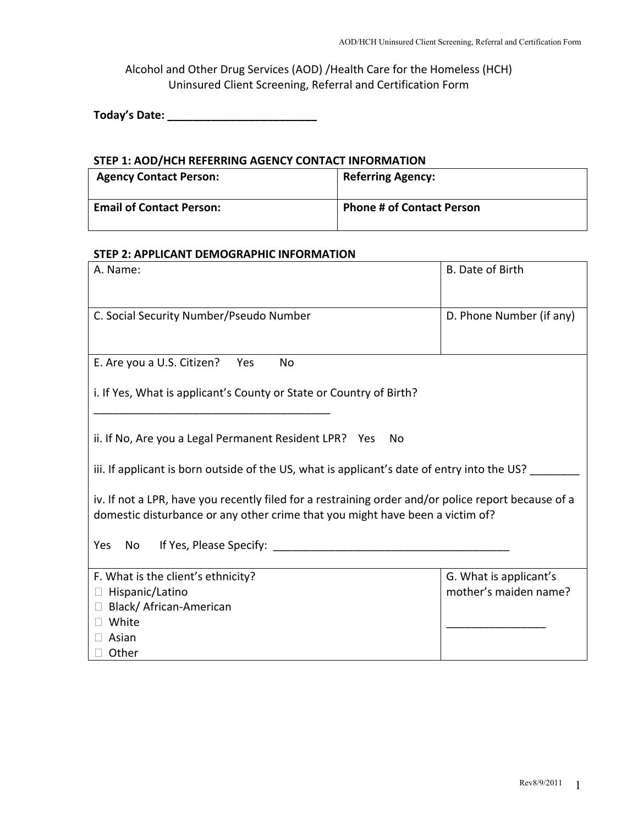Alcohol and Other Drug Services (AOD) /Health Care for the Homeless (HCH) Uninsured Client Screening, Referral and Certification Form

**Today's Date: \_\_\_\_\_\_\_\_\_\_\_\_\_\_\_\_\_\_\_\_\_\_\_\_**

#### **STEP 1: AOD/HCH REFERRING AGENCY CONTACT INFORMATION**

| <b>Agency Contact Person:</b>   | <b>Referring Agency:</b>         |
|---------------------------------|----------------------------------|
| <b>Email of Contact Person:</b> | <b>Phone # of Contact Person</b> |

#### **STEP 2: APPLICANT DEMOGRAPHIC INFORMATION**

| A. Name:                                                                                            | <b>B.</b> Date of Birth  |  |  |
|-----------------------------------------------------------------------------------------------------|--------------------------|--|--|
|                                                                                                     |                          |  |  |
| C. Social Security Number/Pseudo Number                                                             | D. Phone Number (if any) |  |  |
|                                                                                                     |                          |  |  |
|                                                                                                     |                          |  |  |
| E. Are you a U.S. Citizen?<br>Yes<br>No                                                             |                          |  |  |
| i. If Yes, What is applicant's County or State or Country of Birth?                                 |                          |  |  |
|                                                                                                     |                          |  |  |
|                                                                                                     |                          |  |  |
| ii. If No, Are you a Legal Permanent Resident LPR? Yes<br>No                                        |                          |  |  |
| iii. If applicant is born outside of the US, what is applicant's date of entry into the US?         |                          |  |  |
|                                                                                                     |                          |  |  |
| iv. If not a LPR, have you recently filed for a restraining order and/or police report because of a |                          |  |  |
| domestic disturbance or any other crime that you might have been a victim of?                       |                          |  |  |
| Yes<br>No                                                                                           |                          |  |  |
|                                                                                                     |                          |  |  |
| F. What is the client's ethnicity?                                                                  | G. What is applicant's   |  |  |
| □ Hispanic/Latino                                                                                   | mother's maiden name?    |  |  |
| □ Black/ African-American                                                                           |                          |  |  |
| White<br>$\Box$ Asian                                                                               |                          |  |  |
| $\Box$ Other                                                                                        |                          |  |  |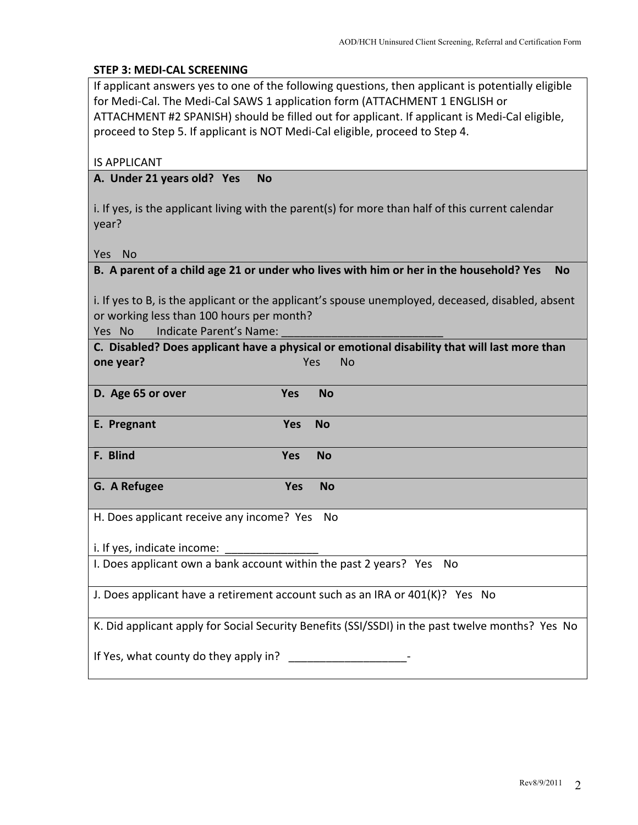#### **STEP 3: MEDI‐CAL SCREENING**

If applicant answers yes to one of the following questions, then applicant is potentially eligible for Medi‐Cal. The Medi‐Cal SAWS 1 application form (ATTACHMENT 1 ENGLISH or ATTACHMENT #2 SPANISH) should be filled out for applicant. If applicant is Medi‐Cal eligible, proceed to Step 5. If applicant is NOT Medi‐Cal eligible, proceed to Step 4.

IS APPLICANT

#### **A. Under 21 years old? Yes No**

i. If yes, is the applicant living with the parent(s) for more than half of this current calendar year?

Yes No

|  | B. A parent of a child age 21 or under who lives with him or her in the household? Yes No |  |
|--|-------------------------------------------------------------------------------------------|--|
|--|-------------------------------------------------------------------------------------------|--|

i. If yes to B, is the applicant or the applicant's spouse unemployed, deceased, disabled, absent or working less than 100 hours per month?

Yes No Indicate Parent's Name: \_\_\_\_\_\_\_\_\_\_\_\_\_\_\_\_\_\_\_\_\_\_\_\_\_\_

|                                                                                                  |            | C. Disabled? Does applicant have a physical or emotional disability that will last more than |
|--------------------------------------------------------------------------------------------------|------------|----------------------------------------------------------------------------------------------|
| one year?                                                                                        |            | Yes<br><b>No</b>                                                                             |
| D. Age 65 or over                                                                                | <b>Yes</b> | <b>No</b>                                                                                    |
| E. Pregnant                                                                                      | <b>Yes</b> | No                                                                                           |
| F. Blind                                                                                         | <b>Yes</b> | <b>No</b>                                                                                    |
| G. A Refugee                                                                                     | <b>Yes</b> | <b>No</b>                                                                                    |
| H. Does applicant receive any income? Yes<br>. No                                                |            |                                                                                              |
| i. If yes, indicate income:                                                                      |            |                                                                                              |
| I. Does applicant own a bank account within the past 2 years? Yes No                             |            |                                                                                              |
| J. Does applicant have a retirement account such as an IRA or $401(K)$ ? Yes No                  |            |                                                                                              |
| K. Did applicant apply for Social Security Benefits (SSI/SSDI) in the past twelve months? Yes No |            |                                                                                              |
| If Yes, what county do they apply in?                                                            |            |                                                                                              |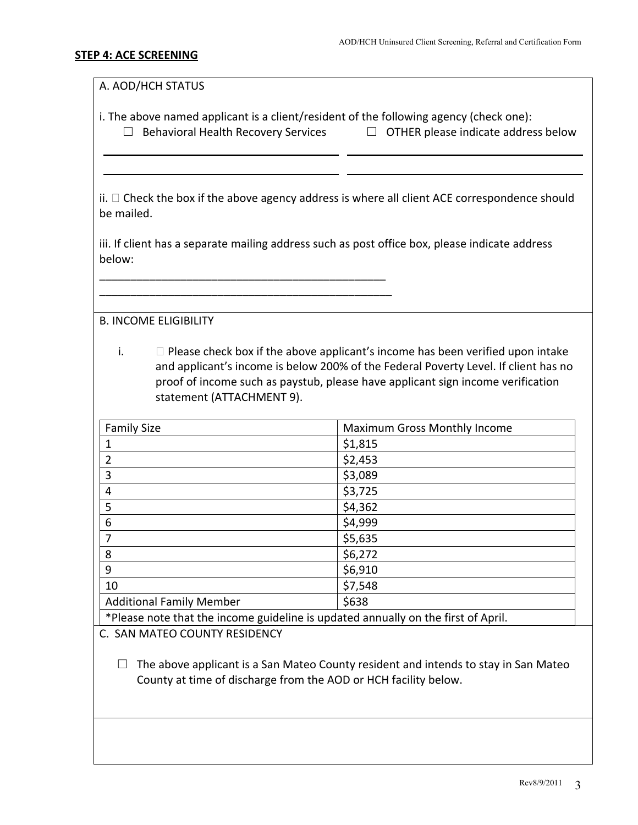#### **STEP 4: ACE SCREENING**

A. AOD/HCH STATUS

i. The above named applicant is a client/resident of the following agency (check one):

□ Behavioral Health Recovery Services □ OTHER please indicate address below

 $ii. \Box$  Check the box if the above agency address is where all client ACE correspondence should be mailed.

iii. If client has a separate mailing address such as post office box, please indicate address below:

\_\_\_\_\_\_\_\_\_\_\_\_\_\_\_\_\_\_\_\_\_\_\_\_\_\_\_\_\_\_\_\_\_\_\_\_\_\_\_\_\_\_\_\_\_\_ \_\_\_\_\_\_\_\_\_\_\_\_\_\_\_\_\_\_\_\_\_\_\_\_\_\_\_\_\_\_\_\_\_\_\_\_\_\_\_\_\_\_\_\_\_\_\_

B. INCOME ELIGIBILITY

i.  $\Box$  Please check box if the above applicant's income has been verified upon intake and applicant's income is below 200% of the Federal Poverty Level. If client has no proof of income such as paystub, please have applicant sign income verification statement (ATTACHMENT 9).

| <b>Family Size</b>              | <b>Maximum Gross Monthly Income</b> |
|---------------------------------|-------------------------------------|
|                                 | \$1,815                             |
| 2                               | \$2,453                             |
| 3                               | \$3,089                             |
| 4                               | \$3,725                             |
| 5                               | \$4,362                             |
| 6                               | \$4,999                             |
| 7                               | \$5,635                             |
| 8                               | \$6,272                             |
| 9                               | \$6,910                             |
| 10                              | \$7,548                             |
| <b>Additional Family Member</b> | \$638                               |

\*Please note that the income guideline is updated annually on the first of April.

C. SAN MATEO COUNTY RESIDENCY

 $\Box$  The above applicant is a San Mateo County resident and intends to stay in San Mateo County at time of discharge from the AOD or HCH facility below.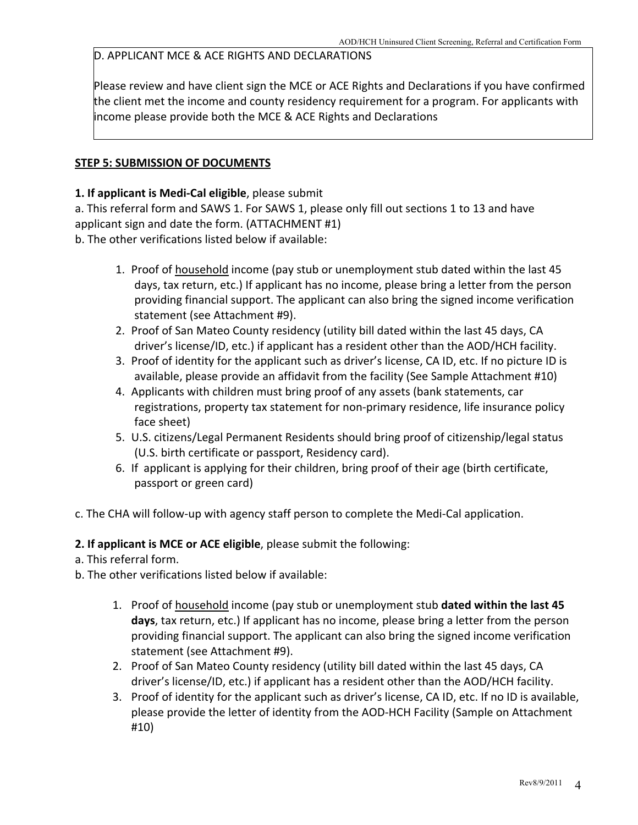### D. APPLICANT MCE & ACE RIGHTS AND DECLARATIONS

Please review and have client sign the MCE or ACE Rights and Declarations if you have confirmed the client met the income and county residency requirement for a program. For applicants with income please provide both the MCE & ACE Rights and Declarations

#### **STEP 5: SUBMISSION OF DOCUMENTS**

#### **1. If applicant is Medi‐Cal eligible**, please submit

a. This referral form and SAWS 1. For SAWS 1, please only fill out sections 1 to 13 and have applicant sign and date the form. (ATTACHMENT #1)

b. The other verifications listed below if available:

- 1. Proof of household income (pay stub or unemployment stub dated within the last 45 days, tax return, etc.) If applicant has no income, please bring a letter from the person providing financial support. The applicant can also bring the signed income verification statement (see Attachment #9).
- 2. Proof of San Mateo County residency (utility bill dated within the last 45 days, CA driver's license/ID, etc.) if applicant has a resident other than the AOD/HCH facility.
- 3. Proof of identity for the applicant such as driver's license, CA ID, etc. If no picture ID is available, please provide an affidavit from the facility (See Sample Attachment #10)
- 4. Applicants with children must bring proof of any assets (bank statements, car registrations, property tax statement for non‐primary residence, life insurance policy face sheet)
- 5. U.S. citizens/Legal Permanent Residents should bring proof of citizenship/legal status (U.S. birth certificate or passport, Residency card).
- 6. If applicant is applying for their children, bring proof of their age (birth certificate, passport or green card)
- c. The CHA will follow‐up with agency staff person to complete the Medi‐Cal application.

**2. If applicant is MCE or ACE eligible**, please submit the following:

- a. This referral form.
- b. The other verifications listed below if available:
	- 1. Proof of household income (pay stub or unemployment stub **dated within the last 45 days**, tax return, etc.) If applicant has no income, please bring a letter from the person providing financial support. The applicant can also bring the signed income verification statement (see Attachment #9).
	- 2. Proof of San Mateo County residency (utility bill dated within the last 45 days, CA driver's license/ID, etc.) if applicant has a resident other than the AOD/HCH facility.
	- 3. Proof of identity for the applicant such as driver's license, CA ID, etc. If no ID is available, please provide the letter of identity from the AOD‐HCH Facility (Sample on Attachment #10)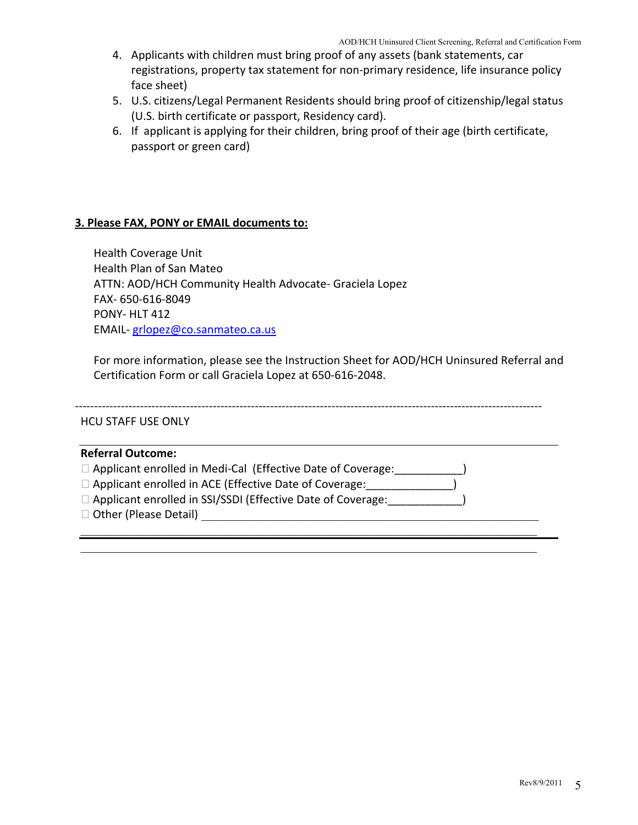- 4. Applicants with children must bring proof of any assets (bank statements, car registrations, property tax statement for non‐primary residence, life insurance policy face sheet)
- 5. U.S. citizens/Legal Permanent Residents should bring proof of citizenship/legal status (U.S. birth certificate or passport, Residency card).
- 6. If applicant is applying for their children, bring proof of their age (birth certificate, passport or green card)

#### **3. Please FAX, PONY or EMAIL documents to:**

Health Coverage Unit Health Plan of San Mateo ATTN: AOD/HCH Community Health Advocate‐ Graciela Lopez FAX‐ 650‐616‐8049 PONY‐ HLT 412 EMAIL‐ [grlopez@co.sanmateo.ca.us](mailto:grlopez@co.sanmateo.ca.us)

For more information, please see the Instruction Sheet for AOD/HCH Uninsured Referral and Certification Form or call Graciela Lopez at 650‐616‐2048.

‐‐‐‐‐‐‐‐‐‐‐‐‐‐‐‐‐‐‐‐‐‐‐‐‐‐‐‐‐‐‐‐‐‐‐‐‐‐‐‐‐‐‐‐‐‐‐‐‐‐‐‐‐‐‐‐‐‐‐‐‐‐‐‐‐‐‐‐‐‐‐‐‐‐‐‐‐‐‐‐‐‐‐‐‐‐‐‐‐‐‐‐‐‐‐‐‐‐‐‐‐‐‐‐‐‐‐‐‐‐‐‐‐‐‐‐‐‐‐‐‐‐

HCU STAFF USE ONLY

| <b>Referral Outcome:</b>                                           |  |
|--------------------------------------------------------------------|--|
| $\Box$ Applicant enrolled in Medi-Cal (Effective Date of Coverage: |  |
| $\Box$ Applicant enrolled in ACE (Effective Date of Coverage:      |  |
| □ Applicant enrolled in SSI/SSDI (Effective Date of Coverage:      |  |
| □ Other (Please Detail)                                            |  |
|                                                                    |  |

 $\mathcal{L}_\mathcal{L} = \{ \mathcal{L}_\mathcal{L} = \{ \mathcal{L}_\mathcal{L} = \{ \mathcal{L}_\mathcal{L} = \{ \mathcal{L}_\mathcal{L} = \{ \mathcal{L}_\mathcal{L} = \{ \mathcal{L}_\mathcal{L} = \{ \mathcal{L}_\mathcal{L} = \{ \mathcal{L}_\mathcal{L} = \{ \mathcal{L}_\mathcal{L} = \{ \mathcal{L}_\mathcal{L} = \{ \mathcal{L}_\mathcal{L} = \{ \mathcal{L}_\mathcal{L} = \{ \mathcal{L}_\mathcal{L} = \{ \mathcal{L}_\mathcal{$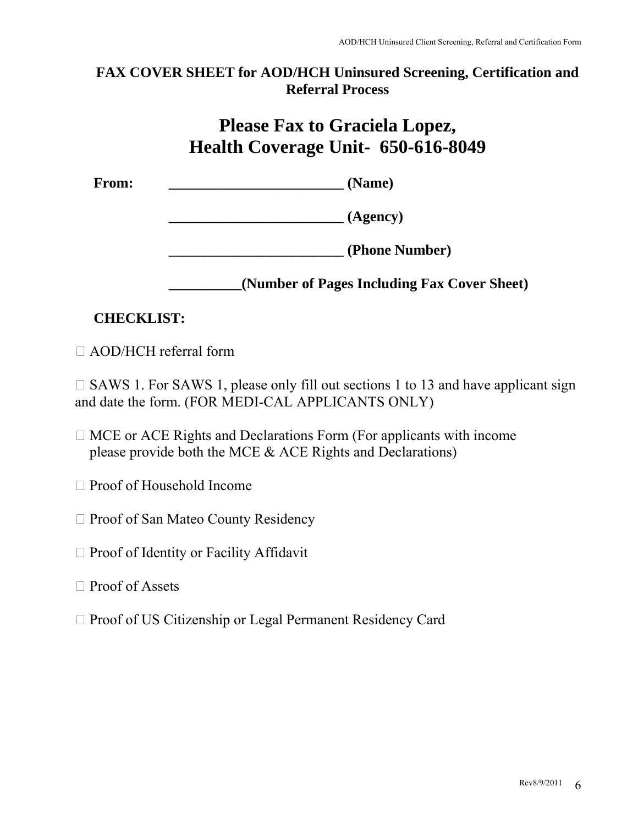## **FAX COVER SHEET for AOD/HCH Uninsured Screening, Certification and Referral Process**

# **Please Fax to Graciela Lopez, Health Coverage Unit- 650-616-8049**

From: (Name)

 **\_\_\_\_\_\_\_\_\_\_\_\_\_\_\_\_\_\_\_\_\_\_\_\_ (Agency)** 

 **\_\_\_\_\_\_\_\_\_\_\_\_\_\_\_\_\_\_\_\_\_\_\_\_ (Phone Number)** 

 **\_\_\_\_\_\_\_\_\_\_(Number of Pages Including Fax Cover Sheet)** 

# **CHECKLIST:**

AOD/HCH referral form

 $\Box$  SAWS 1. For SAWS 1, please only fill out sections 1 to 13 and have applicant sign and date the form. (FOR MEDI-CAL APPLICANTS ONLY)

- $\Box$  MCE or ACE Rights and Declarations Form (For applicants with income please provide both the MCE & ACE Rights and Declarations)
- □ Proof of Household Income
- □ Proof of San Mateo County Residency
- $\Box$  Proof of Identity or Facility Affidavit
- Proof of Assets
- □ Proof of US Citizenship or Legal Permanent Residency Card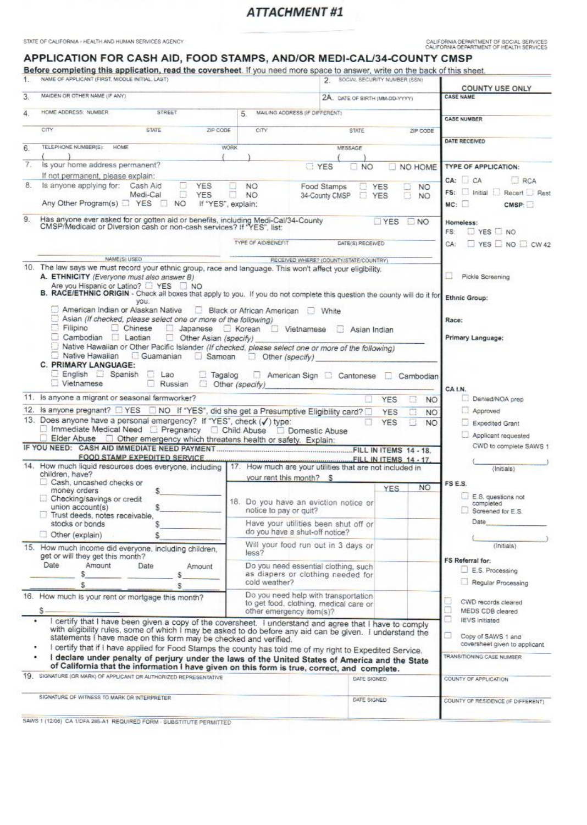STATE OF CALIFORNIA - HEALTH AND HUMAN SERVICES AGENCY

CALIFORNIA DEPARTMENT OF SOCIAL SERVICES<br>CALIFORNIA DEPARTMENT OF HEALTH SERVICES

#### APPLICATION FOR CASH AID, FOOD STAMPS, AND/OR MEDI-CAL/34-COUNTY CMSP

Before completing this application, read the coversheet. If you need more space to answer, write on the back of this sheet.

| 1. | NAME OF APPLICANT (FIRST, MIDDLE INITIAL, LAST)                                                                                                                                                 |                                   | 2.                                                                             | SOCIAL SECURITY NUMBER (SSN)                |                                            |
|----|-------------------------------------------------------------------------------------------------------------------------------------------------------------------------------------------------|-----------------------------------|--------------------------------------------------------------------------------|---------------------------------------------|--------------------------------------------|
| 3. | MAIDEN OR OTHER NAME (IF ANY)                                                                                                                                                                   |                                   | 2A. DATE OF BIRTH (MM-DD-YYYY)                                                 |                                             | <b>COUNTY USE ONLY</b><br><b>CASE NAME</b> |
|    |                                                                                                                                                                                                 |                                   |                                                                                |                                             |                                            |
| 4. | HOME ADDRESS: NUMBER<br>STREET                                                                                                                                                                  | 5.                                | MAILING ADDRESS (IF DIFFERENT)                                                 |                                             | <b>CASE NUMBER</b>                         |
|    | CITY<br><b>STATE</b><br>ZIP CODE                                                                                                                                                                | CITY                              | STATE                                                                          | ZIP CODE                                    |                                            |
| 6. | TELEPHONE NUMBERIST<br>HOME                                                                                                                                                                     | <b>WORK</b>                       | <b>MESSAGE</b>                                                                 |                                             | DATE RECEIVED                              |
|    |                                                                                                                                                                                                 |                                   |                                                                                |                                             |                                            |
| 7. | is your home address permanent?                                                                                                                                                                 |                                   | <b>TYES</b><br>NO <sub>1</sub>                                                 | NO HOME                                     | TYPE OF APPLICATION:                       |
| 8. | If not permanent, please explain:<br>Is anyone applying for: Cash Aid<br>o                                                                                                                      |                                   |                                                                                |                                             | CA: CA<br>RCA                              |
|    | <b>YES</b><br>Ð<br>Medi-Cal<br>YES                                                                                                                                                              | NO <sub>1</sub><br>n<br>NO.       | Food Stamps<br>Ð<br>34-County CMSP                                             | <b>YES</b><br>NO.<br>σ<br><b>YES</b><br>NO. | FS: Initial E Recert E Rest                |
|    | Any Other Program(s) PYES<br><b>NO</b><br>-131                                                                                                                                                  | If "YES", explain:                |                                                                                |                                             | MC:<br>CMSP:                               |
| 9. | Has anyone ever asked for or gotten aid or benefits, including Medi-Cal/34-County<br>CMSP/Medicaid or Diversion cash or non-cash services? If "YES", list:                                      |                                   |                                                                                | YES<br><b>NO</b>                            | Homeless:                                  |
|    |                                                                                                                                                                                                 |                                   |                                                                                |                                             | YES NO<br>FS:                              |
|    |                                                                                                                                                                                                 | <b>TYPE OF AID/BENEFIT</b>        | DATE(S) RECEIVED                                                               |                                             | $\Box$ YES $\Box$ NO $\Box$ CW 42<br>CA:   |
|    |                                                                                                                                                                                                 |                                   |                                                                                |                                             |                                            |
|    | NAME(S) USED<br>10. The law says we must record your ethnic group, race and language. This won't affect your eligibility.                                                                       |                                   | RECEIVED WHERE? (COUNTY/STATE/COUNTRY)                                         |                                             |                                            |
|    | A. ETHNICITY (Everyone must also answer B)                                                                                                                                                      |                                   |                                                                                |                                             | Pickle Screening                           |
|    | Are you Hispanic or Latino?  SI YES  NO                                                                                                                                                         |                                   |                                                                                |                                             |                                            |
|    | B. RACE/ETHNIC ORIGIN - Check all boxes that apply to you. If you do not complete this question the county will do it for<br>you.                                                               |                                   |                                                                                |                                             | Ethnic Group:                              |
|    | American Indian or Alaskan Native                                                                                                                                                               | Black or African American I White |                                                                                |                                             |                                            |
|    | u<br>Asian (If checked, please select one or more of the following)                                                                                                                             |                                   |                                                                                |                                             | Race:                                      |
|    | Filipino<br>Chinese<br>□ Japanese □ Korean □ Vietnamese<br>Cambodian Laotian<br>Other Asian (specify)                                                                                           |                                   | Asian Indian                                                                   |                                             | Primary Language:                          |
|    | Native Hawaiian or Other Pacific Islander (If checked, please select one or more of the following)                                                                                              |                                   |                                                                                |                                             |                                            |
|    | Native Hawaiian Guamanian<br>Samoan                                                                                                                                                             | Other (specify)                   |                                                                                |                                             |                                            |
|    | C. PRIMARY LANGUAGE:                                                                                                                                                                            |                                   |                                                                                |                                             |                                            |
|    | English <b>Spanish</b><br>Lao<br>Ł.<br>Tagalog                                                                                                                                                  |                                   | American Sign <b>D</b> Cantonese                                               | Cambodian                                   |                                            |
|    | Vietnamese<br>n.<br>Russian<br>호                                                                                                                                                                | Other (specify)                   |                                                                                |                                             | CA I.N.                                    |
|    | 11. Is anyone a migrant or seasonal farmworker?                                                                                                                                                 |                                   |                                                                                | <b>YES</b>                                  | Denied/NOA prep<br>NO.                     |
|    | 12. Is anyone pregnant? EYES NO If "YES", did she get a Presumptive Eligibility card?                                                                                                           |                                   |                                                                                | <b>YES</b>                                  | Approved<br>NO.                            |
|    | 13. Does anyone have a personal emergency? If "YES", check (/) type:                                                                                                                            |                                   |                                                                                | <b>YES</b>                                  | NO.<br>Expedited Grant                     |
|    | □ Immediate Medical Need □ Pregnancy □ Child Abuse □ Domestic Abuse                                                                                                                             |                                   |                                                                                |                                             | Applicant requested                        |
|    | Elder Abuse <sup>1</sup> Other emergency which threatens health or safety. Explain:                                                                                                             |                                   |                                                                                |                                             | CWD to complete SAWS 1                     |
|    | <b>FOOD STAMP EXPEDITED SERVICE</b>                                                                                                                                                             |                                   |                                                                                | FILL IN ITEMS 14 - 17.                      |                                            |
|    | 14. How much liquid resources does everyone, including                                                                                                                                          |                                   | 17. How much are your utilities that are not included in                       |                                             | (Initials)                                 |
|    | children, have?                                                                                                                                                                                 |                                   | your rent this month? \$                                                       |                                             |                                            |
|    | Cash, uncashed checks or<br>money orders<br>\$                                                                                                                                                  |                                   |                                                                                | NO.<br><b>YES</b>                           | FS E.S.                                    |
|    | Checking/savings or credit                                                                                                                                                                      |                                   | 18. Do you have an eviction notice or                                          |                                             | E.S. questions not<br>completed            |
|    | union account(s)<br>s<br>Trust deeds, notes receivable,                                                                                                                                         | notice to pay or guit?            |                                                                                |                                             | Screened for E.S.                          |
|    | stocks or bonds<br>s                                                                                                                                                                            |                                   | Have your utilities been shut off or                                           |                                             | Date                                       |
|    | Other (explain)<br>S                                                                                                                                                                            |                                   | do you have a shut-off notice?                                                 |                                             |                                            |
|    | 15. How much income did everyone, including children,                                                                                                                                           |                                   | Will your food run out in 3 days or                                            |                                             | (Initials)                                 |
|    | get or will they get this month?                                                                                                                                                                | less?                             |                                                                                |                                             | FS Referral for:                           |
|    | Date<br>Amount<br>Date<br>Amount                                                                                                                                                                |                                   | Do you need essential clothing, such                                           |                                             | E.S. Processing                            |
|    | s<br>s                                                                                                                                                                                          | cold weather?                     | as diapers or clothing needed for                                              |                                             |                                            |
|    | \$<br>s                                                                                                                                                                                         |                                   |                                                                                |                                             | Regular Processing                         |
|    | 16. How much is your rent or mortgage this month?                                                                                                                                               |                                   | Do you need help with transportation<br>to get food, clothing, medical care or |                                             | CWD records cleared                        |
|    | s                                                                                                                                                                                               |                                   | other emergency item(s)?                                                       |                                             | MEDS CDB cleared                           |
|    | certify that I have been given a copy of the coversheet. I understand and agree that I have to comply                                                                                           |                                   |                                                                                |                                             | <b>IEVS</b> initiated                      |
|    | with eligibility rules, some of which I may be asked to do before any aid can be given. I understand the                                                                                        |                                   |                                                                                |                                             | Copy of SAWS 1 and                         |
|    | statements I have made on this form may be checked and verified.                                                                                                                                |                                   |                                                                                |                                             | coversheet given to applicant              |
|    | I certify that if I have applied for Food Stamps the county has told me of my right to Expedited Service.                                                                                       |                                   |                                                                                |                                             | TRANSITIONING CASE NUMBER                  |
|    | I declare under penalty of perjury under the laws of the United States of America and the State<br>of California that the information I have given on this form is true, correct, and complete. |                                   |                                                                                |                                             |                                            |
|    | 19. SIGNATURE (OR MARK) OF APPLICANT OR AUTHORIZED REPRESENTATIVE                                                                                                                               |                                   |                                                                                | DATE SIGNED                                 | COUNTY OF APPLICATION                      |
|    |                                                                                                                                                                                                 |                                   |                                                                                |                                             |                                            |
|    | SIGNATURE OF WITNESS TO MARK OR INTERPRETER                                                                                                                                                     |                                   | DATE SIGNED                                                                    |                                             | COUNTY OF RESIDENCE (IF DIFFERENT)         |
|    |                                                                                                                                                                                                 |                                   |                                                                                |                                             |                                            |

SAWS 1 (1208) CA 1/DFA 285-A1 REQUIRED FORM - SUBSTITUTE PERMITTED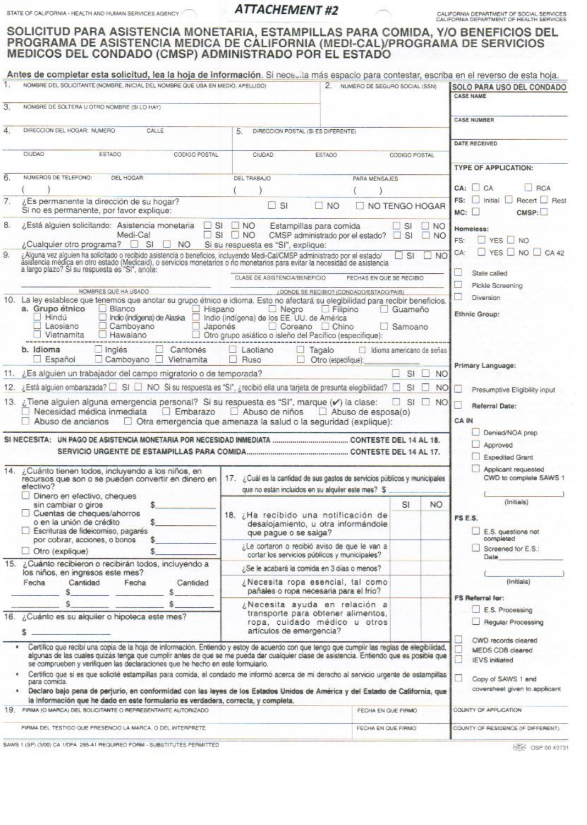STATE OF CALIFORNIA - HEALTH AND HUMAN SERVICES AGENCY

## **ATTACHEMENT #2**

CALIFORNIA DEPARTMENT OF SOCIAL SERVICES<br>CALIFORNIA DEPARTMENT OF HEALTH SERVICES

# SOLICITUD PARA ASISTENCIA MONETARIA, ESTAMPILLAS PARA COMIDA, Y/O BENEFICIOS DEL PROGRAMA DE ASISTENCIA MEDICA DE CALIFORNIA (MEDI-CAL)/PROGRAMA DE SERVICIOS<br>MEDICOS DEL CONDADO (CMSP) ADMINISTRADO POR EL ESTADO

|      | NOMBRE DEL SOLICITANTE (NOMBRE, INICIAL DEL NOMBRE QUE USA EN MEDIO, APELLIDO)                                                                                                                                                                                                        |                                                           | 2. NUMERO DE SEGURO SOCIAL (SSN)                                                            |                           | SOLO PARA USO DEL CONDADO<br><b>CASE NAME</b>          |
|------|---------------------------------------------------------------------------------------------------------------------------------------------------------------------------------------------------------------------------------------------------------------------------------------|-----------------------------------------------------------|---------------------------------------------------------------------------------------------|---------------------------|--------------------------------------------------------|
| 3.   | NOMBRE DE SOLTERA U OTRO NOMBRE (SI LO HAY)                                                                                                                                                                                                                                           |                                                           |                                                                                             |                           |                                                        |
|      |                                                                                                                                                                                                                                                                                       |                                                           |                                                                                             |                           | <b>CASE NUMBER</b>                                     |
| 4    | DIRECCION DEL HOGAR: NUMERO<br>CALLE                                                                                                                                                                                                                                                  | 5.                                                        | DIRECCION POSTAL (SI ES DIFERENTE)                                                          |                           | DATE RECEIVED                                          |
|      | CIUDAD<br>ESTADO<br>CODIGO POSTAL                                                                                                                                                                                                                                                     | <b>CIUDAD</b>                                             | ESTADO                                                                                      | CODIGO POSTAL             |                                                        |
|      |                                                                                                                                                                                                                                                                                       |                                                           |                                                                                             |                           | <b>TYPE OF APPLICATION:</b>                            |
| 6.   | NUMEROS DE TELEFONO:<br>DEL HOGAR                                                                                                                                                                                                                                                     | DEL TRABAJO                                               | PARA MENSAJES                                                                               |                           | CA: C A<br>RCA                                         |
| 7.   | ¿Es permanente la dirección de su hogar?                                                                                                                                                                                                                                              |                                                           |                                                                                             |                           | Recert <b>Best</b><br>$FS:$ Initial                    |
|      | Si no es permanente, por favor explique:                                                                                                                                                                                                                                              | $\Box$ SI<br>$\square$ NO<br>NO TENGO HOGAR               |                                                                                             |                           | MC:<br>CMSP:                                           |
| 8.   | ¿Está alguien solicitando: Asistencia monetaria                                                                                                                                                                                                                                       | $DSI$ $NO$                                                | Estampillas para comida                                                                     | $\Box$ SI $\Box$ NO       | Homeless:                                              |
|      | Medi-Cal<br>¿Cualquier otro programa?<br>S <sub>i</sub><br>NO.                                                                                                                                                                                                                        | $\Box$ SI $\Box$ NO<br>Si su respuesta es "SI", explique: | CMSP administrado por el estado?                                                            | $\Box$ SI $\Box$ NO       | $YES \Box NO$<br>FS:                                   |
| 9.   |                                                                                                                                                                                                                                                                                       |                                                           |                                                                                             | $\mathsf{S}$<br><b>NO</b> | YES $\Box$ NO $\Box$ CA 42<br>CA:                      |
|      | ¿Alguna vez alguien ha solicitado o recibido asistencia o beneficios, incluyendo Medi-Cal/CMSP administrado por el estado/<br>asistencia médica en otro estado (Medicaid), o servicios monetarios o no monetarios para evitar la                                                      |                                                           |                                                                                             |                           | State called                                           |
|      |                                                                                                                                                                                                                                                                                       | CLASE DE ASISTENCIA/BENEFICIO                             | FECHAS EN QUE SE RECIBIO                                                                    |                           | Pickle Screening                                       |
| 10.  | NOMBRES QUE HA USADO<br>La ley establece que tenemos que anotar su grupo étnico e idioma. Esto no afectará su elegibilidad para recibir beneficios.                                                                                                                                   |                                                           | ¿DONDE SE RECIBIO? (CONDADO/ESTADO/PAIS)                                                    |                           | Diversion                                              |
|      | a. Grupo étnico<br>Blanco<br>$H$ ispano                                                                                                                                                                                                                                               | $\Box$ Negro                                              | $\Box$ Filipino                                                                             | Guameño                   | Ethnic Group:                                          |
|      | Hindú<br>Indio (indigena) de Alaska<br>Laosiano<br>Camboyano                                                                                                                                                                                                                          | Indio (indígena) de los EE. UU. de América<br>Japonés     | Coreano Chino                                                                               | Samoano                   |                                                        |
|      | Vietnamita<br>Hawaiano                                                                                                                                                                                                                                                                | Otro grupo asiático o isleño del Pacífico (especifique):  |                                                                                             |                           |                                                        |
|      | b. Idioma<br>Inglés<br>Cantonés                                                                                                                                                                                                                                                       | $\Box$ Laotiano                                           | Tagalo<br>u                                                                                 | dioma americano de señas  |                                                        |
|      | $\Box$ Camboyano $\Box$<br>Español<br>Vietnamita                                                                                                                                                                                                                                      | $\Box$ Ruso                                               | Otro (especifique):                                                                         |                           | Primary Language:                                      |
| 11.7 | ¿Es alguien un trabajador del campo migratorio o de temporada?                                                                                                                                                                                                                        |                                                           |                                                                                             | SI<br>$\Box$ NO           |                                                        |
|      | 12. ¿Está alguien embarazada? □ SI □ NO Si su respuesta es "SI", ¿recibió ella una tarjeta de presunta elegibilidad? □                                                                                                                                                                |                                                           |                                                                                             | o<br><b>SI</b><br>NO.     | 81<br>Presumptive Eligibility input                    |
|      | 13. ¿Tiene alguien alguna emergencia personal? Si su respuesta es "SI", marque (v) la clase:                                                                                                                                                                                          |                                                           |                                                                                             |                           |                                                        |
|      |                                                                                                                                                                                                                                                                                       |                                                           |                                                                                             | $S1$ NO                   | Referral Date:                                         |
|      |                                                                                                                                                                                                                                                                                       |                                                           |                                                                                             |                           | CA IN                                                  |
|      | Otra emergencia que amenaza la salud o la seguridad (explique):<br>Abuso de ancianos                                                                                                                                                                                                  |                                                           |                                                                                             |                           | Denied/NOA prep                                        |
|      |                                                                                                                                                                                                                                                                                       |                                                           |                                                                                             |                           | Approved                                               |
|      |                                                                                                                                                                                                                                                                                       |                                                           |                                                                                             |                           | Expedited Grant                                        |
|      | 14. ¿Cuánto tienen todos, incluyendo a los niños, en<br>recursos que son o se pueden convertir en dinero en                                                                                                                                                                           |                                                           | 17. ¿Cuál es la cantidad de sus gastos de servicios públicos y municipales                  |                           | Applicant requested<br>CWD to complete SAWS 1          |
|      | efectivo?                                                                                                                                                                                                                                                                             |                                                           | que no están incluidos en su alquiler este mes? \$                                          |                           |                                                        |
|      | Dinero en efectivo, cheques<br>sin cambiar o giros                                                                                                                                                                                                                                    |                                                           |                                                                                             | <b>NO</b><br>SI           | (Initials)                                             |
|      | Cuentas de cheques/ahorros<br>s                                                                                                                                                                                                                                                       |                                                           | 18. ¿Ha recibido una notificación de                                                        |                           | FS E.S.                                                |
|      | o en la unión de crédito<br>Escrituras de fideicomiso, pagarés                                                                                                                                                                                                                        | que pague o se salga?                                     | desalojamiento, u otra informándole                                                         |                           | E.S. questions not                                     |
|      | por cobrar, acciones, o bonos<br>\$<br>$\Box$ Otro (explique)                                                                                                                                                                                                                         |                                                           | ¿Le cortaron o recibió aviso de que le van a                                                |                           | completed<br>Screened for E.S.:                        |
|      | 15. ¿Cuánto recibieron o recibirán todos, incluyendo a                                                                                                                                                                                                                                |                                                           | cortar los servicios públicos y municipales?<br>¿Se le acabará la comida en 3 días o menos? |                           | Date                                                   |
|      | los niños, en ingresos este mes?<br>Cantidad<br>Fecha<br>Fecha<br>Cantidad                                                                                                                                                                                                            |                                                           | ¿Necesita ropa esencial, tal como                                                           |                           | (Initials)                                             |
|      |                                                                                                                                                                                                                                                                                       |                                                           | pañales o ropa necesaria para el frío?                                                      |                           | <b>FS Referral for:</b>                                |
|      |                                                                                                                                                                                                                                                                                       |                                                           | ¿Necesita ayuda en relación a                                                               |                           |                                                        |
|      | 16. ¿Cuánto es su alquiler o hipoteca este mes?                                                                                                                                                                                                                                       |                                                           | transporte para obtener alimentos.<br>ropa, cuidado médico u otros                          |                           | E.S. Processing<br>Regular Processing                  |
|      |                                                                                                                                                                                                                                                                                       | artículos de emergencia?                                  |                                                                                             |                           |                                                        |
|      | Certifico que recibí una copia de la hoja de información. Entiendo y estoy de acuerdo con que tengo que cumplir las reglas de elegibilidad,<br>algunas de las cuales quizás tenga que cumplir antes de que se me pueda dar cualquier clase de asistencia. Entiendo que es posible que |                                                           |                                                                                             |                           | CWD records cleared<br>MEDS CDB cleared                |
|      | se comprueben y verifiquen las declaraciones que he hecho en este formulario.                                                                                                                                                                                                         |                                                           |                                                                                             |                           | Ō<br><b>IEVS</b> initiated                             |
|      | · Certifico que si es que solicité estampillas para comida, el condado me informó acerca de mi derecho al servicio urgente de estampillas<br>para comida.                                                                                                                             |                                                           |                                                                                             |                           | n<br>Copy of SAWS 1 and                                |
|      | Declaro bajo pena de perjurio, en conformidad con las leyes de los Estados Unidos de América y del Estado de California, que                                                                                                                                                          |                                                           |                                                                                             |                           |                                                        |
|      | la información que he dado en este formulario es verdadera, correcta, y completa.<br>19. FIRMA (O MARCA) DEL SOLICITANTE O REPRESENTANTE AUTORIZADO                                                                                                                                   |                                                           | FECHA EN QUE FIRMO                                                                          |                           | coversheet given to applicant<br>COUNTY OF APPLICATION |

SAWS 1 (SP) (3/00) CA 1/DFA 285-A1 REQUIRED FORM - SUBSTITUTES PERMITTED

 **intel OSP 00 43731**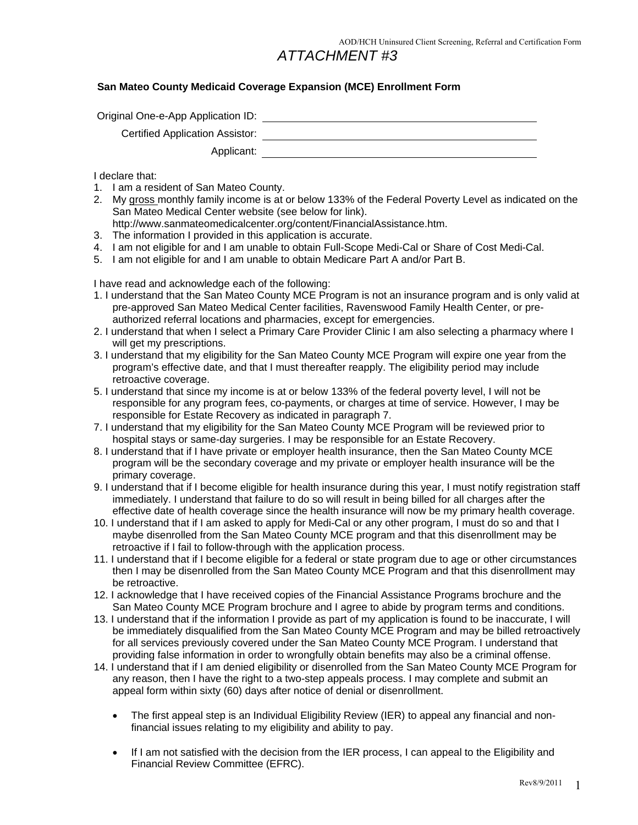#### **San Mateo County Medicaid Coverage Expansion (MCE) Enrollment Form**

Original One-e-App Application ID:  $\qquad \qquad \qquad$ 

Certified Application Assistor:

Applicant:

I declare that:

- 1. I am a resident of San Mateo County.
- 2. My gross monthly family income is at or below 133% of the Federal Poverty Level as indicated on the San Mateo Medical Center website (see below for link).
- http://www.sanmateomedicalcenter.org/content/FinancialAssistance.htm.
- 3. The information I provided in this application is accurate.
- 4. I am not eligible for and I am unable to obtain Full-Scope Medi-Cal or Share of Cost Medi-Cal.
- 5. I am not eligible for and I am unable to obtain Medicare Part A and/or Part B.

I have read and acknowledge each of the following:

- 1. I understand that the San Mateo County MCE Program is not an insurance program and is only valid at pre-approved San Mateo Medical Center facilities, Ravenswood Family Health Center, or preauthorized referral locations and pharmacies, except for emergencies.
- 2. I understand that when I select a Primary Care Provider Clinic I am also selecting a pharmacy where I will get my prescriptions.
- 3. I understand that my eligibility for the San Mateo County MCE Program will expire one year from the program's effective date, and that I must thereafter reapply. The eligibility period may include retroactive coverage.
- 5. I understand that since my income is at or below 133% of the federal poverty level, I will not be responsible for any program fees, co-payments, or charges at time of service. However, I may be responsible for Estate Recovery as indicated in paragraph 7.
- 7. I understand that my eligibility for the San Mateo County MCE Program will be reviewed prior to hospital stays or same-day surgeries. I may be responsible for an Estate Recovery.
- 8. I understand that if I have private or employer health insurance, then the San Mateo County MCE program will be the secondary coverage and my private or employer health insurance will be the primary coverage.
- 9. I understand that if I become eligible for health insurance during this year, I must notify registration staff immediately. I understand that failure to do so will result in being billed for all charges after the effective date of health coverage since the health insurance will now be my primary health coverage.
- 10. I understand that if I am asked to apply for Medi-Cal or any other program, I must do so and that I maybe disenrolled from the San Mateo County MCE program and that this disenrollment may be retroactive if I fail to follow-through with the application process.
- 11. I understand that if I become eligible for a federal or state program due to age or other circumstances then I may be disenrolled from the San Mateo County MCE Program and that this disenrollment may be retroactive.
- 12. I acknowledge that I have received copies of the Financial Assistance Programs brochure and the San Mateo County MCE Program brochure and I agree to abide by program terms and conditions.
- 13. I understand that if the information I provide as part of my application is found to be inaccurate, I will be immediately disqualified from the San Mateo County MCE Program and may be billed retroactively for all services previously covered under the San Mateo County MCE Program. I understand that providing false information in order to wrongfully obtain benefits may also be a criminal offense.
- 14. I understand that if I am denied eligibility or disenrolled from the San Mateo County MCE Program for any reason, then I have the right to a two-step appeals process. I may complete and submit an appeal form within sixty (60) days after notice of denial or disenrollment.
	- The first appeal step is an Individual Eligibility Review (IER) to appeal any financial and nonfinancial issues relating to my eligibility and ability to pay.
	- If I am not satisfied with the decision from the IER process, I can appeal to the Eligibility and Financial Review Committee (EFRC).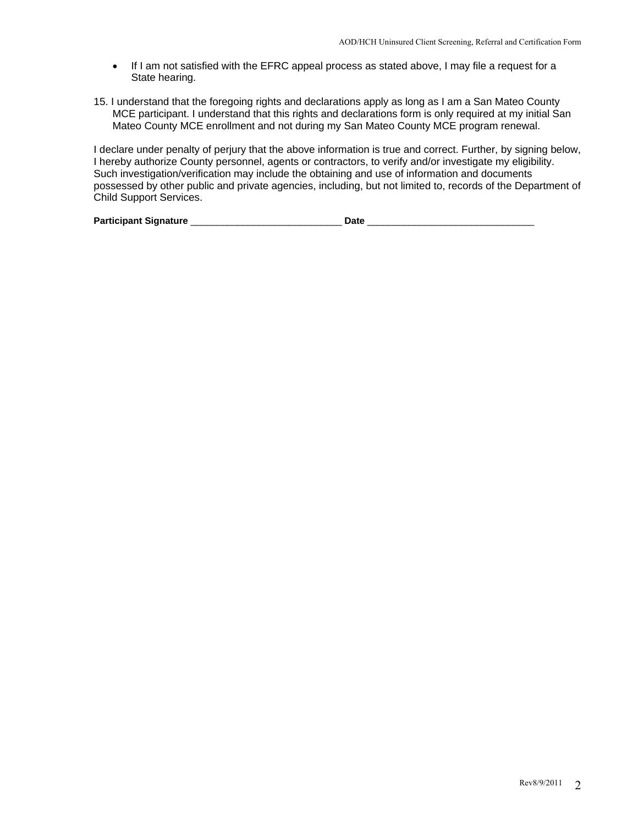- If I am not satisfied with the EFRC appeal process as stated above, I may file a request for a State hearing.
- 15. I understand that the foregoing rights and declarations apply as long as I am a San Mateo County MCE participant. I understand that this rights and declarations form is only required at my initial San Mateo County MCE enrollment and not during my San Mateo County MCE program renewal.

I declare under penalty of perjury that the above information is true and correct. Further, by signing below, I hereby authorize County personnel, agents or contractors, to verify and/or investigate my eligibility. Such investigation/verification may include the obtaining and use of information and documents possessed by other public and private agencies, including, but not limited to, records of the Department of Child Support Services.

| <b>Participant Signature</b><br>)at |  |
|-------------------------------------|--|
|-------------------------------------|--|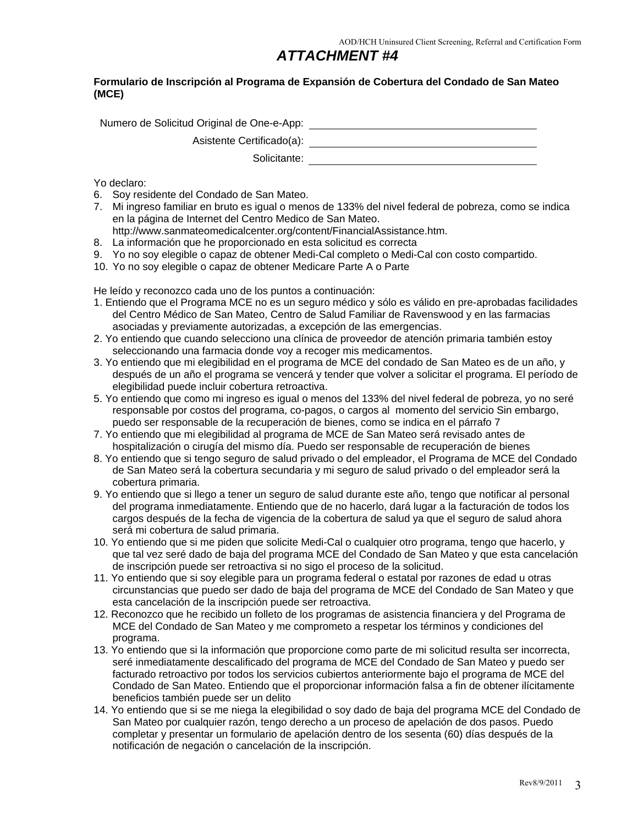#### **Formulario de Inscripción al Programa de Expansión de Cobertura del Condado de San Mateo (MCE)**

Numero de Solicitud Original de One-e-App:

Asistente Certificado(a):

Solicitante: with the set of the set of the set of the set of the set of the set of the set of the set of the set of the set of the set of the set of the set of the set of the set of the set of the set of the set of the se

Yo declaro:

- 6. Soy residente del Condado de San Mateo.
- 7. Mi ingreso familiar en bruto es igual o menos de 133% del nivel federal de pobreza, como se indica en la página de Internet del Centro Medico de San Mateo. http://www.sanmateomedicalcenter.org/content/FinancialAssistance.htm.
- 8. La información que he proporcionado en esta solicitud es correcta
- 9. Yo no soy elegible o capaz de obtener Medi-Cal completo o Medi-Cal con costo compartido.
- 10. Yo no soy elegible o capaz de obtener Medicare Parte A o Parte

He leído y reconozco cada uno de los puntos a continuación:

- 1. Entiendo que el Programa MCE no es un seguro médico y sólo es válido en pre-aprobadas facilidades del Centro Médico de San Mateo, Centro de Salud Familiar de Ravenswood y en las farmacias asociadas y previamente autorizadas, a excepción de las emergencias.
- 2. Yo entiendo que cuando selecciono una clínica de proveedor de atención primaria también estoy seleccionando una farmacia donde voy a recoger mis medicamentos.
- 3. Yo entiendo que mi elegibilidad en el programa de MCE del condado de San Mateo es de un año, y después de un año el programa se vencerá y tender que volver a solicitar el programa. El período de elegibilidad puede incluir cobertura retroactiva.
- 5. Yo entiendo que como mi ingreso es igual o menos del 133% del nivel federal de pobreza, yo no seré responsable por costos del programa, co-pagos, o cargos al momento del servicio Sin embargo, puedo ser responsable de la recuperación de bienes, como se indica en el párrafo 7
- 7. Yo entiendo que mi elegibilidad al programa de MCE de San Mateo será revisado antes de hospitalización o cirugía del mismo día. Puedo ser responsable de recuperación de bienes
- 8. Yo entiendo que si tengo seguro de salud privado o del empleador, el Programa de MCE del Condado de San Mateo será la cobertura secundaria y mi seguro de salud privado o del empleador será la cobertura primaria.
- 9. Yo entiendo que si llego a tener un seguro de salud durante este año, tengo que notificar al personal del programa inmediatamente. Entiendo que de no hacerlo, dará lugar a la facturación de todos los cargos después de la fecha de vigencia de la cobertura de salud ya que el seguro de salud ahora será mi cobertura de salud primaria.
- 10. Yo entiendo que si me piden que solicite Medi-Cal o cualquier otro programa, tengo que hacerlo, y que tal vez seré dado de baja del programa MCE del Condado de San Mateo y que esta cancelación de inscripción puede ser retroactiva si no sigo el proceso de la solicitud.
- 11. Yo entiendo que si soy elegible para un programa federal o estatal por razones de edad u otras circunstancias que puedo ser dado de baja del programa de MCE del Condado de San Mateo y que esta cancelación de la inscripción puede ser retroactiva.
- 12. Reconozco que he recibido un folleto de los programas de asistencia financiera y del Programa de MCE del Condado de San Mateo y me comprometo a respetar los términos y condiciones del programa.
- 13. Yo entiendo que si la información que proporcione como parte de mi solicitud resulta ser incorrecta, seré inmediatamente descalificado del programa de MCE del Condado de San Mateo y puedo ser facturado retroactivo por todos los servicios cubiertos anteriormente bajo el programa de MCE del Condado de San Mateo. Entiendo que el proporcionar información falsa a fin de obtener ilícitamente beneficios también puede ser un delito
- 14. Yo entiendo que si se me niega la elegibilidad o soy dado de baja del programa MCE del Condado de San Mateo por cualquier razón, tengo derecho a un proceso de apelación de dos pasos. Puedo completar y presentar un formulario de apelación dentro de los sesenta (60) días después de la notificación de negación o cancelación de la inscripción.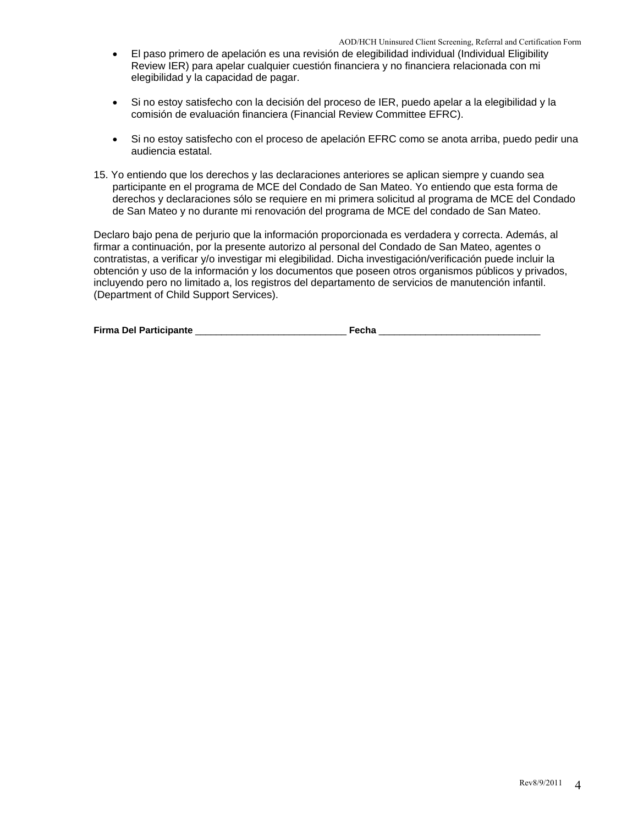- El paso primero de apelación es una revisión de elegibilidad individual (Individual Eligibility Review IER) para apelar cualquier cuestión financiera y no financiera relacionada con mi elegibilidad y la capacidad de pagar.
- Si no estoy satisfecho con la decisión del proceso de IER, puedo apelar a la elegibilidad y la comisión de evaluación financiera (Financial Review Committee EFRC).
- Si no estoy satisfecho con el proceso de apelación EFRC como se anota arriba, puedo pedir una audiencia estatal.
- 15. Yo entiendo que los derechos y las declaraciones anteriores se aplican siempre y cuando sea participante en el programa de MCE del Condado de San Mateo. Yo entiendo que esta forma de derechos y declaraciones sólo se requiere en mi primera solicitud al programa de MCE del Condado de San Mateo y no durante mi renovación del programa de MCE del condado de San Mateo.

Declaro bajo pena de perjurio que la información proporcionada es verdadera y correcta. Además, al firmar a continuación, por la presente autorizo al personal del Condado de San Mateo, agentes o contratistas, a verificar y/o investigar mi elegibilidad. Dicha investigación/verificación puede incluir la obtención y uso de la información y los documentos que poseen otros organismos públicos y privados, incluyendo pero no limitado a, los registros del departamento de servicios de manutención infantil. (Department of Child Support Services).

|  | <b>Firma Del Participante</b> |  |  |
|--|-------------------------------|--|--|
|--|-------------------------------|--|--|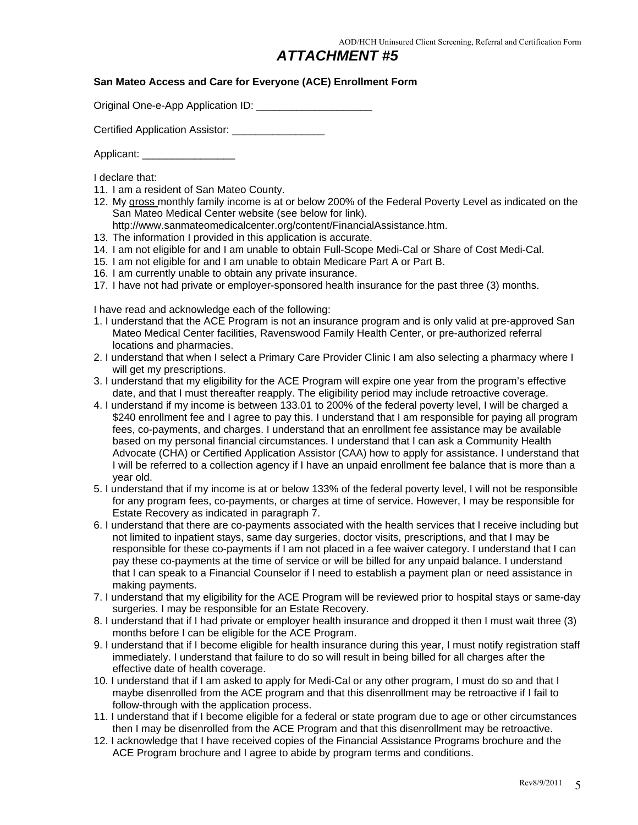#### **San Mateo Access and Care for Everyone (ACE) Enrollment Form**

Original One-e-App Application ID:

Certified Application Assistor: \_\_\_\_\_\_\_\_\_\_\_\_\_\_\_\_\_\_

Applicant:

I declare that:

- 11. I am a resident of San Mateo County.
- 12. My gross monthly family income is at or below 200% of the Federal Poverty Level as indicated on the San Mateo Medical Center website (see below for link).
	- http://www.sanmateomedicalcenter.org/content/FinancialAssistance.htm.
- 13. The information I provided in this application is accurate.
- 14. I am not eligible for and I am unable to obtain Full-Scope Medi-Cal or Share of Cost Medi-Cal.
- 15. I am not eligible for and I am unable to obtain Medicare Part A or Part B.
- 16. I am currently unable to obtain any private insurance.
- 17. I have not had private or employer-sponsored health insurance for the past three (3) months.

I have read and acknowledge each of the following:

- 1. I understand that the ACE Program is not an insurance program and is only valid at pre-approved San Mateo Medical Center facilities, Ravenswood Family Health Center, or pre-authorized referral locations and pharmacies.
- 2. I understand that when I select a Primary Care Provider Clinic I am also selecting a pharmacy where I will get my prescriptions.
- 3. I understand that my eligibility for the ACE Program will expire one year from the program's effective date, and that I must thereafter reapply. The eligibility period may include retroactive coverage.
- 4. I understand if my income is between 133.01 to 200% of the federal poverty level, I will be charged a \$240 enrollment fee and I agree to pay this. I understand that I am responsible for paying all program fees, co-payments, and charges. I understand that an enrollment fee assistance may be available based on my personal financial circumstances. I understand that I can ask a Community Health Advocate (CHA) or Certified Application Assistor (CAA) how to apply for assistance. I understand that I will be referred to a collection agency if I have an unpaid enrollment fee balance that is more than a year old.
- 5. I understand that if my income is at or below 133% of the federal poverty level, I will not be responsible for any program fees, co-payments, or charges at time of service. However, I may be responsible for Estate Recovery as indicated in paragraph 7.
- 6. I understand that there are co-payments associated with the health services that I receive including but not limited to inpatient stays, same day surgeries, doctor visits, prescriptions, and that I may be responsible for these co-payments if I am not placed in a fee waiver category. I understand that I can pay these co-payments at the time of service or will be billed for any unpaid balance. I understand that I can speak to a Financial Counselor if I need to establish a payment plan or need assistance in making payments.
- 7. I understand that my eligibility for the ACE Program will be reviewed prior to hospital stays or same-day surgeries. I may be responsible for an Estate Recovery.
- 8. I understand that if I had private or employer health insurance and dropped it then I must wait three (3) months before I can be eligible for the ACE Program.
- 9. I understand that if I become eligible for health insurance during this year, I must notify registration staff immediately. I understand that failure to do so will result in being billed for all charges after the effective date of health coverage.
- 10. I understand that if I am asked to apply for Medi-Cal or any other program, I must do so and that I maybe disenrolled from the ACE program and that this disenrollment may be retroactive if I fail to follow-through with the application process.
- 11. I understand that if I become eligible for a federal or state program due to age or other circumstances then I may be disenrolled from the ACE Program and that this disenrollment may be retroactive.
- 12. I acknowledge that I have received copies of the Financial Assistance Programs brochure and the ACE Program brochure and I agree to abide by program terms and conditions.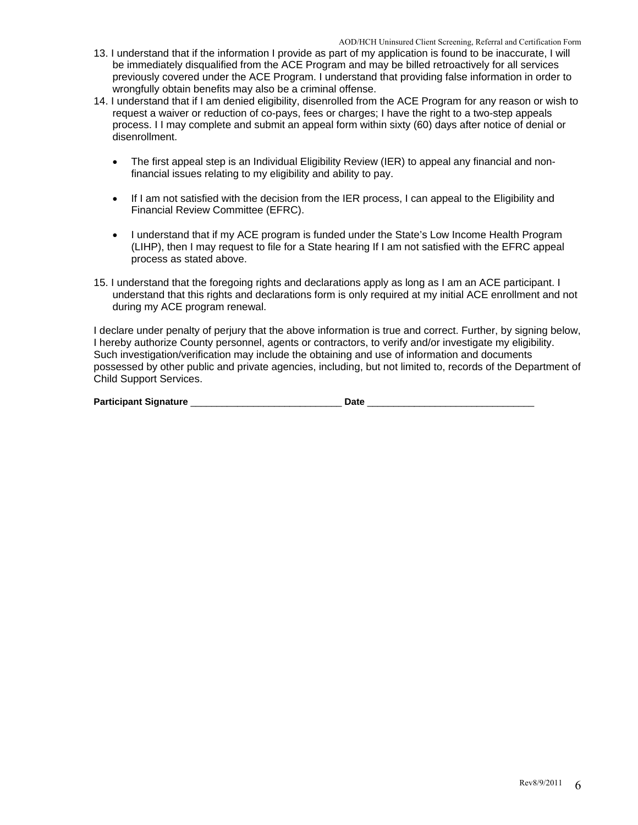- 13. I understand that if the information I provide as part of my application is found to be inaccurate, I will be immediately disqualified from the ACE Program and may be billed retroactively for all services previously covered under the ACE Program. I understand that providing false information in order to wrongfully obtain benefits may also be a criminal offense.
- 14. I understand that if I am denied eligibility, disenrolled from the ACE Program for any reason or wish to request a waiver or reduction of co-pays, fees or charges; I have the right to a two-step appeals process. I I may complete and submit an appeal form within sixty (60) days after notice of denial or disenrollment.
	- The first appeal step is an Individual Eligibility Review (IER) to appeal any financial and nonfinancial issues relating to my eligibility and ability to pay.
	- If I am not satisfied with the decision from the IER process, I can appeal to the Eligibility and Financial Review Committee (EFRC).
	- I understand that if my ACE program is funded under the State's Low Income Health Program (LIHP), then I may request to file for a State hearing If I am not satisfied with the EFRC appeal process as stated above.
- 15. I understand that the foregoing rights and declarations apply as long as I am an ACE participant. I understand that this rights and declarations form is only required at my initial ACE enrollment and not during my ACE program renewal.

I declare under penalty of perjury that the above information is true and correct. Further, by signing below, I hereby authorize County personnel, agents or contractors, to verify and/or investigate my eligibility. Such investigation/verification may include the obtaining and use of information and documents possessed by other public and private agencies, including, but not limited to, records of the Department of Child Support Services.

| <b>Participant Signature</b> |  | )at |
|------------------------------|--|-----|
|------------------------------|--|-----|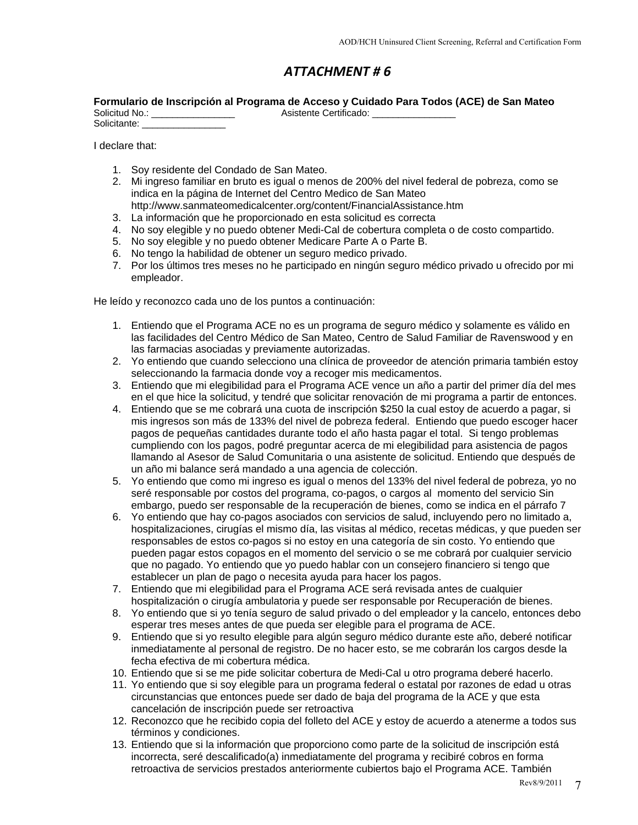#### **Formulario de Inscripción al Programa de Acceso y Cuidado Para Todos (ACE) de San Mateo**

| Solicitud No.: | $\sim$ $\sim$ $\sim$ $\sim$ $\sim$ $\sim$<br>Asistente Certificado: |
|----------------|---------------------------------------------------------------------|
| Solicitante:   |                                                                     |

I declare that:

- 1. Soy residente del Condado de San Mateo.
- 2. Mi ingreso familiar en bruto es igual o menos de 200% del nivel federal de pobreza, como se indica en la página de Internet del Centro Medico de San Mateo
- http://www.sanmateomedicalcenter.org/content/FinancialAssistance.htm
- 3. La información que he proporcionado en esta solicitud es correcta
- 4. No soy elegible y no puedo obtener Medi-Cal de cobertura completa o de costo compartido.
- 5. No soy elegible y no puedo obtener Medicare Parte A o Parte B.
- 6. No tengo la habilidad de obtener un seguro medico privado.
- 7. Por los últimos tres meses no he participado en ningún seguro médico privado u ofrecido por mi empleador.

He leído y reconozco cada uno de los puntos a continuación:

- 1. Entiendo que el Programa ACE no es un programa de seguro médico y solamente es válido en las facilidades del Centro Médico de San Mateo, Centro de Salud Familiar de Ravenswood y en las farmacias asociadas y previamente autorizadas.
- 2. Yo entiendo que cuando selecciono una clínica de proveedor de atención primaria también estoy seleccionando la farmacia donde voy a recoger mis medicamentos.
- 3. Entiendo que mi elegibilidad para el Programa ACE vence un año a partir del primer día del mes en el que hice la solicitud, y tendré que solicitar renovación de mi programa a partir de entonces.
- 4. Entiendo que se me cobrará una cuota de inscripción \$250 la cual estoy de acuerdo a pagar, si mis ingresos son más de 133% del nivel de pobreza federal. Entiendo que puedo escoger hacer pagos de pequeñas cantidades durante todo el año hasta pagar el total. Si tengo problemas cumpliendo con los pagos, podré preguntar acerca de mi elegibilidad para asistencia de pagos llamando al Asesor de Salud Comunitaria o una asistente de solicitud. Entiendo que después de un año mi balance será mandado a una agencia de colección.
- 5. Yo entiendo que como mi ingreso es igual o menos del 133% del nivel federal de pobreza, yo no seré responsable por costos del programa, co-pagos, o cargos al momento del servicio Sin embargo, puedo ser responsable de la recuperación de bienes, como se indica en el párrafo 7
- 6. Yo entiendo que hay co-pagos asociados con servicios de salud, incluyendo pero no limitado a, hospitalizaciones, cirugías el mismo día, las visitas al médico, recetas médicas, y que pueden ser responsables de estos co-pagos si no estoy en una categoría de sin costo. Yo entiendo que pueden pagar estos copagos en el momento del servicio o se me cobrará por cualquier servicio que no pagado. Yo entiendo que yo puedo hablar con un consejero financiero si tengo que establecer un plan de pago o necesita ayuda para hacer los pagos.
- 7. Entiendo que mi elegibilidad para el Programa ACE será revisada antes de cualquier hospitalización o cirugía ambulatoria y puede ser responsable por Recuperación de bienes.
- 8. Yo entiendo que si yo tenía seguro de salud privado o del empleador y la cancelo, entonces debo esperar tres meses antes de que pueda ser elegible para el programa de ACE.
- 9. Entiendo que si yo resulto elegible para algún seguro médico durante este año, deberé notificar inmediatamente al personal de registro. De no hacer esto, se me cobrarán los cargos desde la fecha efectiva de mi cobertura médica.
- 10. Entiendo que si se me pide solicitar cobertura de Medi-Cal u otro programa deberé hacerlo.
- 11. Yo entiendo que si soy elegible para un programa federal o estatal por razones de edad u otras circunstancias que entonces puede ser dado de baja del programa de la ACE y que esta cancelación de inscripción puede ser retroactiva
- 12. Reconozco que he recibido copia del folleto del ACE y estoy de acuerdo a atenerme a todos sus términos y condiciones.
- 13. Entiendo que si la información que proporciono como parte de la solicitud de inscripción está incorrecta, seré descalificado(a) inmediatamente del programa y recibiré cobros en forma retroactiva de servicios prestados anteriormente cubiertos bajo el Programa ACE. También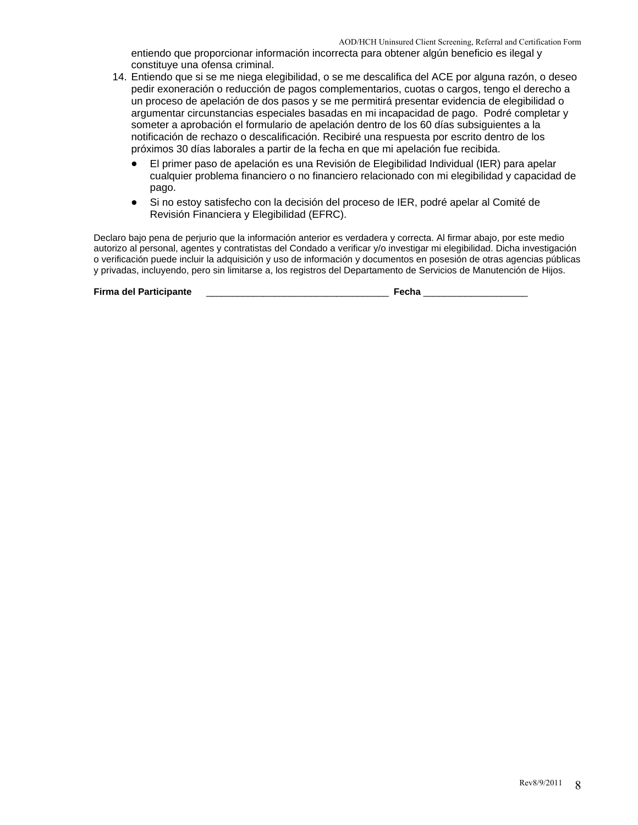entiendo que proporcionar información incorrecta para obtener algún beneficio es ilegal y constituye una ofensa criminal.

- 14. Entiendo que si se me niega elegibilidad, o se me descalifica del ACE por alguna razón, o deseo pedir exoneración o reducción de pagos complementarios, cuotas o cargos, tengo el derecho a un proceso de apelación de dos pasos y se me permitirá presentar evidencia de elegibilidad o argumentar circunstancias especiales basadas en mi incapacidad de pago. Podré completar y someter a aprobación el formulario de apelación dentro de los 60 días subsiguientes a la notificación de rechazo o descalificación. Recibiré una respuesta por escrito dentro de los próximos 30 días laborales a partir de la fecha en que mi apelación fue recibida.
	- El primer paso de apelación es una Revisión de Elegibilidad Individual (IER) para apelar cualquier problema financiero o no financiero relacionado con mi elegibilidad y capacidad de pago.
	- Si no estoy satisfecho con la decisión del proceso de IER, podré apelar al Comité de Revisión Financiera y Elegibilidad (EFRC).

Declaro bajo pena de perjurio que la información anterior es verdadera y correcta. Al firmar abajo, por este medio autorizo al personal, agentes y contratistas del Condado a verificar y/o investigar mi elegibilidad. Dicha investigación o verificación puede incluir la adquisición y uso de información y documentos en posesión de otras agencias públicas y privadas, incluyendo, pero sin limitarse a, los registros del Departamento de Servicios de Manutención de Hijos.

**Firma del Participante** \_\_\_\_\_\_\_\_\_\_\_\_\_\_\_\_\_\_\_\_\_\_\_\_\_\_\_\_\_\_\_\_\_\_\_ **Fecha** \_\_\_\_\_\_\_\_\_\_\_\_\_\_\_\_\_\_\_\_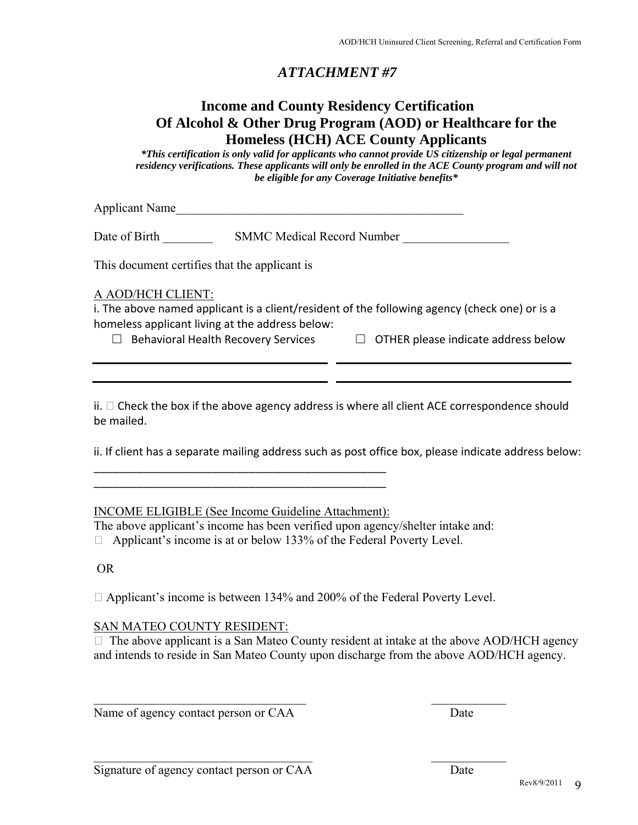## **Income and County Residency Certification Of Alcohol & Other Drug Program (AOD) or Healthcare for the Homeless (HCH) ACE County Applicants**

*\*This certification is only valid for applicants who cannot provide US citizenship or legal permanent residency verifications. These applicants will only be enrolled in the ACE County program and will not be eligible for any Coverage Initiative benefits\** 

Applicant Name

Date of Birth SMMC Medical Record Number

This document certifies that the applicant is

#### A AOD/HCH CLIENT:

i. The above named applicant is a client/resident of the following agency (check one) or is a homeless applicant living at the address below:

- 
- □ Behavioral Health Recovery Services □ OTHER please indicate address below

 $ii. \Box$  Check the box if the above agency address is where all client ACE correspondence should be mailed.

ii. If client has a separate mailing address such as post office box, please indicate address below:

INCOME ELIGIBLE (See Income Guideline Attachment):

\_\_\_\_\_\_\_\_\_\_\_\_\_\_\_\_\_\_\_\_\_\_\_\_\_\_\_\_\_\_\_\_\_\_\_\_\_\_\_\_\_\_\_\_\_\_\_ \_\_\_\_\_\_\_\_\_\_\_\_\_\_\_\_\_\_\_\_\_\_\_\_\_\_\_\_\_\_\_\_\_\_\_\_\_\_\_\_\_\_\_\_\_\_\_

The above applicant's income has been verified upon agency/shelter intake and:

 $\Box$  Applicant's income is at or below 133% of the Federal Poverty Level.

OR

□ Applicant's income is between 134% and 200% of the Federal Poverty Level.

 $\mathcal{L}_\mathcal{L}$  , and the contribution of the contribution of the contribution of the contribution of the contribution of the contribution of the contribution of the contribution of the contribution of the contribution of

 $\mathcal{L}_\mathcal{L}$  , and the contribution of the contribution of the contribution of the contribution of the contribution of the contribution of the contribution of the contribution of the contribution of the contribution of

#### SAN MATEO COUNTY RESIDENT:

 $\Box$  The above applicant is a San Mateo County resident at intake at the above AOD/HCH agency and intends to reside in San Mateo County upon discharge from the above AOD/HCH agency.

Name of agency contact person or CAA Date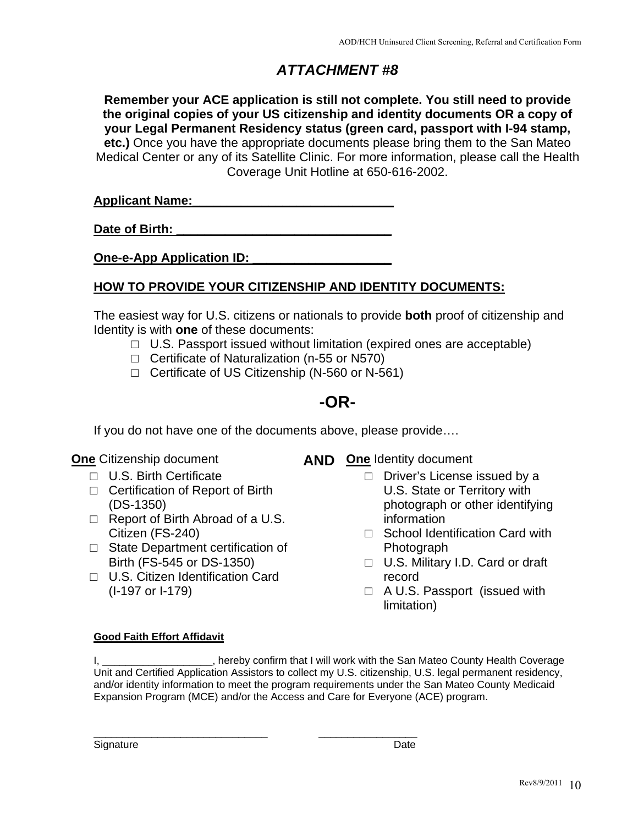**Remember your ACE application is still not complete. You still need to provide the original copies of your US citizenship and identity documents OR a copy of your Legal Permanent Residency status (green card, passport with I-94 stamp, etc.)** Once you have the appropriate documents please bring them to the San Mateo Medical Center or any of its Satellite Clinic. For more information, please call the Health Coverage Unit Hotline at 650-616-2002.

| <b>Applicant Name:</b> |  |  |  |
|------------------------|--|--|--|
|                        |  |  |  |

Date of Birth:

**One-e-App Application ID:** 

## **HOW TO PROVIDE YOUR CITIZENSHIP AND IDENTITY DOCUMENTS:**

The easiest way for U.S. citizens or nationals to provide **both** proof of citizenship and Identity is with **one** of these documents:

- $\Box$  U.S. Passport issued without limitation (expired ones are acceptable)
- □ Certificate of Naturalization (n-55 or N570)

\_\_\_\_\_\_\_\_\_\_\_\_\_\_\_\_\_\_\_\_\_\_\_\_\_\_\_\_\_\_ \_\_\_\_\_\_\_\_\_\_\_\_\_\_\_\_\_

 $\Box$  Certificate of US Citizenship (N-560 or N-561)

# **-OR-**

If you do not have one of the documents above, please provide….

- □ U.S. Birth Certificate
- □ Certification of Report of Birth (DS-1350)
- □ Report of Birth Abroad of a U.S. Citizen (FS-240)
- □ State Department certification of Birth (FS-545 or DS-1350)
- □ U.S. Citizen Identification Card (I-197 or I-179)
- **One** Citizenship document **AND** One Identity document
	- □ Driver's License issued by a U.S. State or Territory with photograph or other identifying information
	- □ School Identification Card with Photograph
	- □ U.S. Military I.D. Card or draft record
	- □ A U.S. Passport (issued with limitation)

#### **Good Faith Effort Affidavit**

I, Letter that I will work with the San Mateo County Health Coverage is a setter that I will work with the San Mateo County Health Coverage Unit and Certified Application Assistors to collect my U.S. citizenship, U.S. legal permanent residency, and/or identity information to meet the program requirements under the San Mateo County Medicaid Expansion Program (MCE) and/or the Access and Care for Everyone (ACE) program.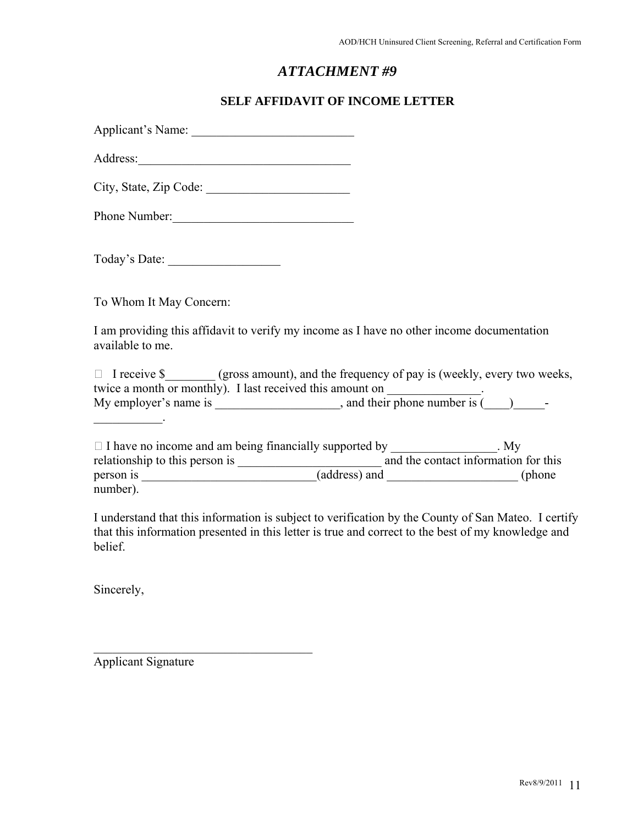#### **SELF AFFIDAVIT OF INCOME LETTER**

| Applicant's Name: |  |  |
|-------------------|--|--|
| Address:          |  |  |

City, State, Zip Code:

Phone Number:\_\_\_\_\_\_\_\_\_\_\_\_\_\_\_\_\_\_\_\_\_\_\_\_\_\_\_\_\_

Today's Date: \_\_\_\_\_\_\_\_\_\_\_\_\_\_\_\_\_\_

To Whom It May Concern:

I am providing this affidavit to verify my income as I have no other income documentation available to me.

| $\Box$ I receive \$                                       | (gross amount), and the frequency of pay is (weekly, every two weeks, |  |  |  |  |
|-----------------------------------------------------------|-----------------------------------------------------------------------|--|--|--|--|
| twice a month or monthly). I last received this amount on |                                                                       |  |  |  |  |
| My employer's name is                                     | and their phone number is (<br>$\overline{\phantom{0}}$               |  |  |  |  |

| $\Box$ I have no income and am being financially supported by |               | . $My$                               |
|---------------------------------------------------------------|---------------|--------------------------------------|
| relationship to this person is                                |               | and the contact information for this |
| person is                                                     | (address) and | (phone                               |
| number).                                                      |               |                                      |

I understand that this information is subject to verification by the County of San Mateo. I certify that this information presented in this letter is true and correct to the best of my knowledge and belief.

Sincerely,

\_\_\_\_\_\_\_\_\_\_\_.

Applicant Signature

 $\mathcal{L}_\text{max}$  , where  $\mathcal{L}_\text{max}$  and  $\mathcal{L}_\text{max}$  and  $\mathcal{L}_\text{max}$